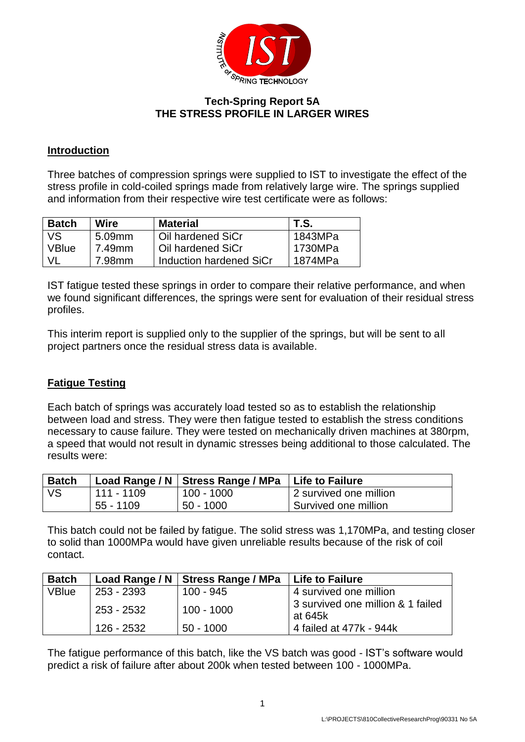

## **Tech-Spring Report 5A THE STRESS PROFILE IN LARGER WIRES**

### **Introduction**

Three batches of compression springs were supplied to IST to investigate the effect of the stress profile in cold-coiled springs made from relatively large wire. The springs supplied and information from their respective wire test certificate were as follows:

| Batch        | Wire   | <b>Material</b>         | T.S.    |
|--------------|--------|-------------------------|---------|
| VS.          | 5.09mm | Oil hardened SiCr       | 1843MPa |
| <b>VBlue</b> | 7.49mm | Oil hardened SiCr       | 1730MPa |
|              | 7.98mm | Induction hardened SiCr | 1874MPa |

IST fatigue tested these springs in order to compare their relative performance, and when we found significant differences, the springs were sent for evaluation of their residual stress profiles.

This interim report is supplied only to the supplier of the springs, but will be sent to all project partners once the residual stress data is available.

## **Fatigue Testing**

Each batch of springs was accurately load tested so as to establish the relationship between load and stress. They were then fatigue tested to establish the stress conditions necessary to cause failure. They were tested on mechanically driven machines at 380rpm, a speed that would not result in dynamic stresses being additional to those calculated. The results were:

| <b>Batch</b> |            | Load Range / N   Stress Range / MPa   Life to Failure |                        |
|--------------|------------|-------------------------------------------------------|------------------------|
| <b>VS</b>    | 111 - 1109 | 100 - 1000                                            | 2 survived one million |
|              | 55 - 1109  | $50 - 1000$                                           | Survived one million   |

This batch could not be failed by fatigue. The solid stress was 1,170MPa, and testing closer to solid than 1000MPa would have given unreliable results because of the risk of coil contact.

| <b>Batch</b> |              | Load Range / N   Stress Range / MPa   Life to Failure |                                              |
|--------------|--------------|-------------------------------------------------------|----------------------------------------------|
| <b>VBlue</b> | 253 - 2393   | $100 - 945$                                           | 4 survived one million                       |
|              | $253 - 2532$ | $100 - 1000$                                          | 3 survived one million & 1 failed<br>at 645k |
|              | 126 - 2532   | $50 - 1000$                                           | 4 failed at 477k - 944k                      |

The fatigue performance of this batch, like the VS batch was good - IST's software would predict a risk of failure after about 200k when tested between 100 - 1000MPa.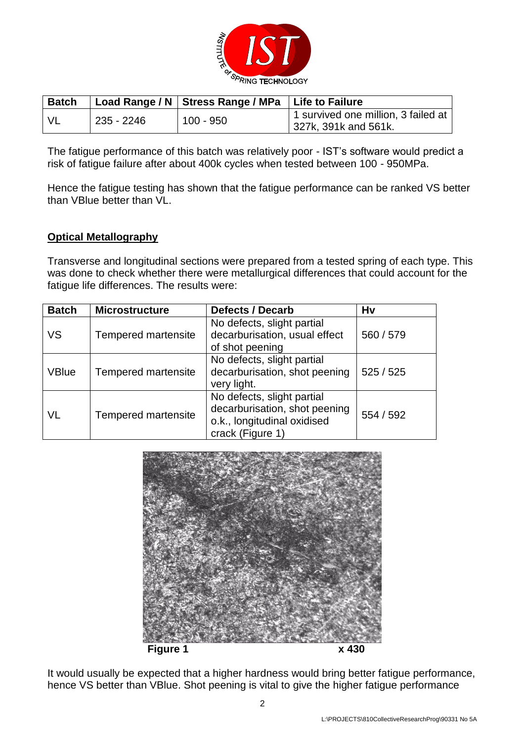

| <b>Batch</b> |            | Load Range / N   Stress Range / MPa   Life to Failure |                                                               |
|--------------|------------|-------------------------------------------------------|---------------------------------------------------------------|
| - VL         | 235 - 2246 | 100 - 950                                             | 1 survived one million, 3 failed at  <br>327k, 391k and 561k. |

The fatigue performance of this batch was relatively poor - IST's software would predict a risk of fatigue failure after about 400k cycles when tested between 100 - 950MPa.

Hence the fatigue testing has shown that the fatigue performance can be ranked VS better than VBlue better than VL.

#### **Optical Metallography**

Transverse and longitudinal sections were prepared from a tested spring of each type. This was done to check whether there were metallurgical differences that could account for the fatigue life differences. The results were:

| <b>Batch</b> | <b>Microstructure</b> | <b>Defects / Decarb</b>                                                                                        | <b>Hv</b> |
|--------------|-----------------------|----------------------------------------------------------------------------------------------------------------|-----------|
| VS           | Tempered martensite   | No defects, slight partial<br>decarburisation, usual effect<br>of shot peening                                 | 560 / 579 |
| <b>VBlue</b> | Tempered martensite   | No defects, slight partial<br>decarburisation, shot peening<br>very light.                                     | 525/525   |
| VL           | Tempered martensite   | No defects, slight partial<br>decarburisation, shot peening<br>o.k., longitudinal oxidised<br>crack (Figure 1) | 554 / 592 |



It would usually be expected that a higher hardness would bring better fatigue performance, hence VS better than VBlue. Shot peening is vital to give the higher fatigue performance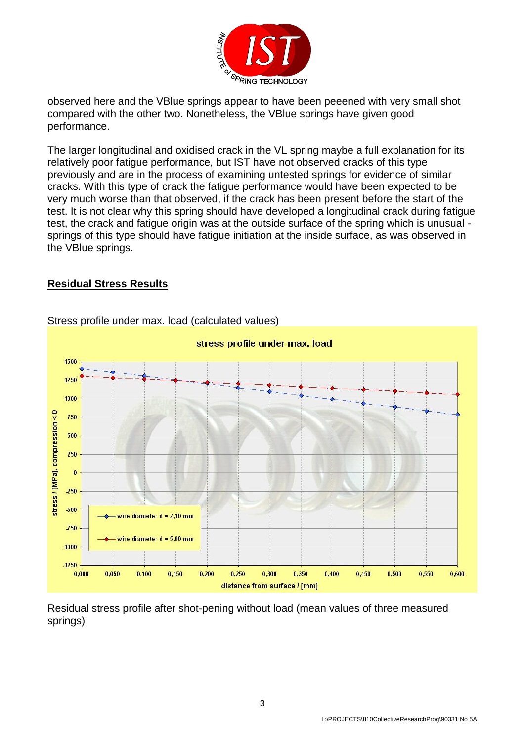

observed here and the VBlue springs appear to have been peeened with very small shot compared with the other two. Nonetheless, the VBlue springs have given good performance.

The larger longitudinal and oxidised crack in the VL spring maybe a full explanation for its relatively poor fatigue performance, but IST have not observed cracks of this type previously and are in the process of examining untested springs for evidence of similar cracks. With this type of crack the fatigue performance would have been expected to be very much worse than that observed, if the crack has been present before the start of the test. It is not clear why this spring should have developed a longitudinal crack during fatigue test, the crack and fatigue origin was at the outside surface of the spring which is unusual springs of this type should have fatigue initiation at the inside surface, as was observed in the VBlue springs.

#### **Residual Stress Results**



## Stress profile under max. load (calculated values)

Residual stress profile after shot-pening without load (mean values of three measured springs)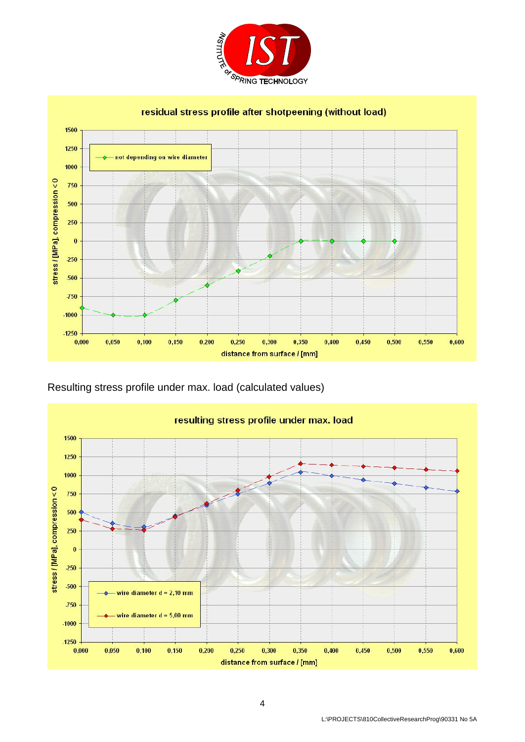



Resulting stress profile under max. load (calculated values)

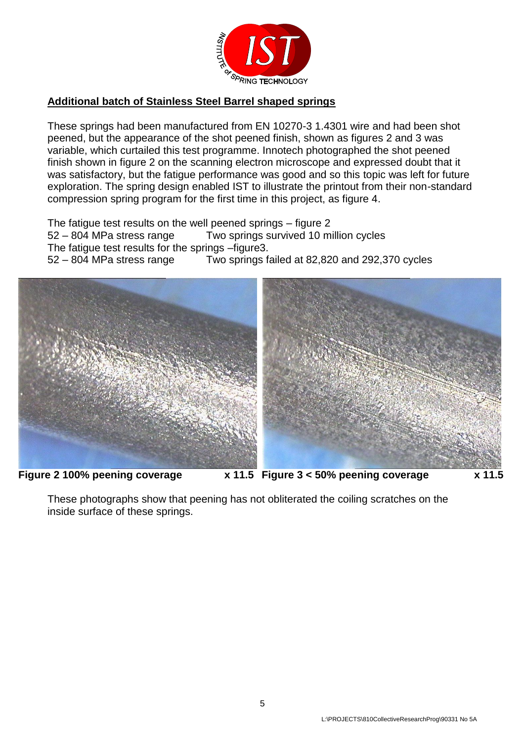

### **Additional batch of Stainless Steel Barrel shaped springs**

These springs had been manufactured from EN 10270-3 1.4301 wire and had been shot peened, but the appearance of the shot peened finish, shown as figures 2 and 3 was variable, which curtailed this test programme. Innotech photographed the shot peened finish shown in figure 2 on the scanning electron microscope and expressed doubt that it was satisfactory, but the fatigue performance was good and so this topic was left for future exploration. The spring design enabled IST to illustrate the printout from their non-standard compression spring program for the first time in this project, as figure 4.

The fatigue test results on the well peened springs – figure 2 52 – 804 MPa stress range Two springs survived 10 million cycles The fatigue test results for the springs –figure3. 52 – 804 MPa stress range Two springs failed at 82,820 and 292,370 cycles



These photographs show that peening has not obliterated the coiling scratches on the inside surface of these springs.